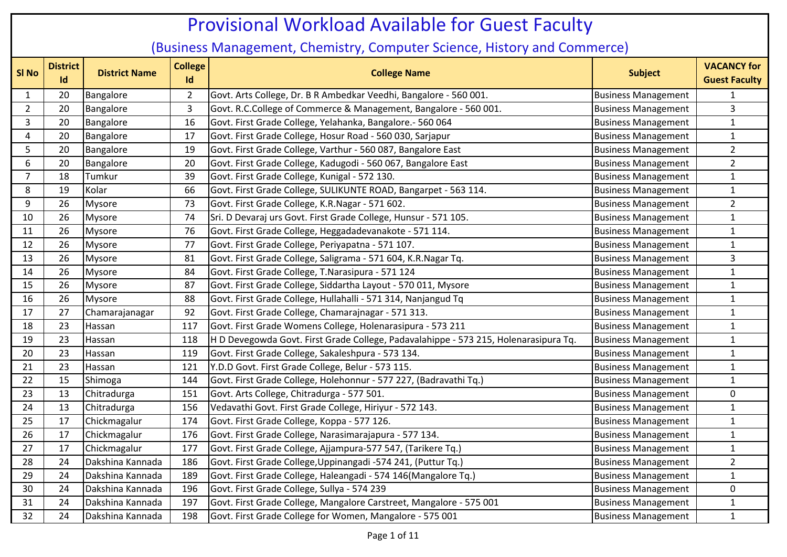## **Sl No District IDistrict Name College Id College Name Subject VACANCY for Guest Faculty** 1 20 Bangalore 2 Govt. Arts College, Dr. B R Ambedkar Veedhi, Bangalore - 560 001. Business Management 1 1 2 20 Bangalore 3 Govt. R.C.College of Commerce & Management, Bangalore - 560 001. Business Management 3 3 20 Bangalore 16 Govt. First Grade College, Yelahanka, Bangalore.- 560 064 Business Management 1 1 4 20 Bangalore 17 Govt. First Grade College, Hosur Road - 560 030, Sarjapur Business Management 1 1 5 20 Bangalore 19 Govt. First Grade College, Varthur - 560 087, Bangalore East 19 Business Management 2 6 | 20 | Bangalore | 20 | Govt. First Grade College, Kadugodi - 560 067, Bangalore East | Business Management | 2 7 | 18 | Tumkur | 39 | Govt. First Grade College, Kunigal - 572 130. Business Management | 1 8 19 Kolar 66 Govt. First Grade College, SULIKUNTE ROAD, Bangarpet - 563 114. Business Management 1 9 26 Mysore 23 Govt. First Grade College, K.R.Nagar - 571 602. 10 26 Mysore 174 Sri. D Devaraj urs Govt. First Grade College, Hunsur - 571 105. Susiness Management 1 1 11 26 Mysore 176 Govt. First Grade College, Heggadadevanakote - 571 114. Susiness Management 1 1 12 26 Mysore 77 Govt. First Grade College, Periyapatna - 571 107. Business Management 1 13 26 Mysore 181 Govt. First Grade College, Saligrama - 571 604, K.R.Nagar Tq. 1990 Business Management 3 14 26 Mysore 184 Govt. First Grade College, T.Narasipura - 571 124 Business Management 1 1 15 26 Mysore 187 Govt. First Grade College, Siddartha Layout - 570 011, Mysore 15 Business Management 1 1 16 26 Mysore 188 Govt. First Grade College, Hullahalli - 571 314, Nanjangud Tq 1 Business Management 11 17 27 Chamarajanagar 92 Govt. First Grade College, Chamarajnagar - 571 313. 18 23 Hassan 117 Govt. First Grade Womens College, Holenarasipura - 573 211 Business Management 1 19 | 23 | Hassan | 118 | H D Devegowda Govt. First Grade College, Padavalahippe - 573 215, Holenarasipura Tq. | Business Management | 1 20 23 Hassan 119 Govt. First Grade College, Sakaleshpura - 573 134. Business Management 1 21 23 Hassan 121 Y.D.D Govt. First Grade College, Belur - 573 115. Business Management 1 22 15 Shimoga 144 Govt. First Grade College, Holehonnur - 577 227, (Badravathi Tq.) Business Management 1 23 13 Chitradurga 151 Govt. Arts College, Chitradurga - 577 501. Business Management 0 24 13 Chitradurga 156 Vedavathi Govt. First Grade College, Hiriyur - 572 143. Business Management 1 25 17 Chickmagalur 174 Govt. First Grade College, Koppa - 577 126. Business Management 1 1 26 17 Chickmagalur 176 Govt. First Grade College, Narasimarajapura - 577 134. Business Management 1 1 27 | 17 | Chickmagalur | 177 | Govt. First Grade College, Ajjampura-577 547, (Tarikere Tq.) | Business Management | 1 28 24 Dakshina Kannada 1 186 Govt. First Grade College,Uppinangadi -574 241, (Puttur Tq.) Business Management 2 29 | 24 | Dakshina Kannada | 189 | Govt. First Grade College, Haleangadi - 574 146 (Mangalore Tq.) | Business Management | 1 30 24 Dakshina Kannada 1 196 Govt. First Grade College, Sullya - 574 239 Sullya 1988 Sullya - San America Management 1 0 31 24 Dakshina Kannada 197 Govt. First Grade College, Mangalore Carstreet, Mangalore - 575 001 Business Management 1 32 24 Dakshina Kannada 198 Govt. First Grade College for Women, Mangalore - 575 001 Susiness Management 1 1 Provisional Workload Available for Guest Faculty (Business Management, Chemistry, Computer Science, History and Commerce)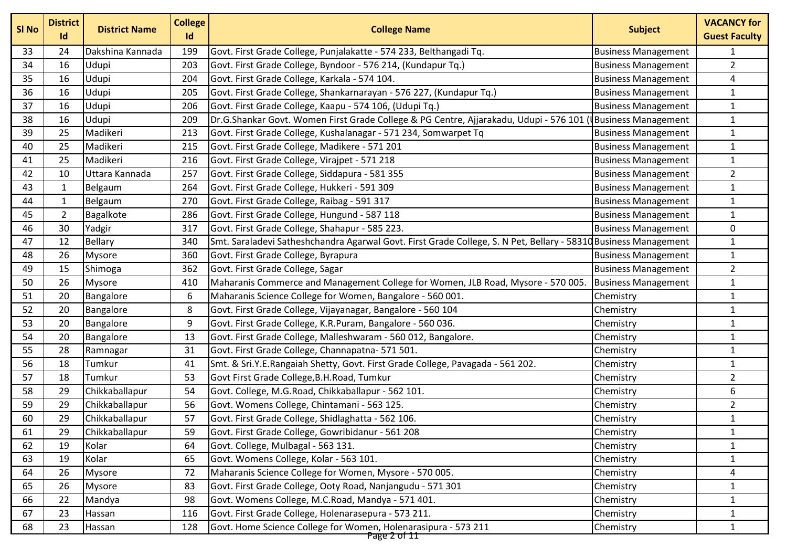| <b>SI No</b> | <b>District</b><br>Id | <b>District Name</b> | <b>College</b><br>Id | <b>College Name</b>                                                                                             | <b>Subject</b>             | <b>VACANCY for</b><br><b>Guest Faculty</b> |
|--------------|-----------------------|----------------------|----------------------|-----------------------------------------------------------------------------------------------------------------|----------------------------|--------------------------------------------|
| 33           | 24                    | Dakshina Kannada     | 199                  | Govt. First Grade College, Punjalakatte - 574 233, Belthangadi Tq.                                              | <b>Business Management</b> | 1                                          |
| 34           | 16                    | Udupi                | 203                  | Govt. First Grade College, Byndoor - 576 214, (Kundapur Tq.)                                                    | <b>Business Management</b> | $\overline{2}$                             |
| 35           | 16                    | Udupi                | 204                  | Govt. First Grade College, Karkala - 574 104.                                                                   | <b>Business Management</b> | 4                                          |
| 36           | 16                    | Udupi                | 205                  | Govt. First Grade College, Shankarnarayan - 576 227, (Kundapur Tq.)                                             | <b>Business Management</b> | $\mathbf{1}$                               |
| 37           | 16                    | Udupi                | 206                  | Govt. First Grade College, Kaapu - 574 106, (Udupi Tq.)                                                         | <b>Business Management</b> | $\mathbf{1}$                               |
| 38           | 16                    | Udupi                | 209                  | Dr.G.Shankar Govt. Women First Grade College & PG Centre, Ajjarakadu, Udupi - 576 101 (                         | <b>Business Management</b> | $\mathbf{1}$                               |
| 39           | 25                    | Madikeri             | 213                  | Govt. First Grade College, Kushalanagar - 571 234, Somwarpet Tq                                                 | <b>Business Management</b> | $\mathbf{1}$                               |
| 40           | 25                    | Madikeri             | 215                  | Govt. First Grade College, Madikere - 571 201                                                                   | <b>Business Management</b> | $\mathbf{1}$                               |
| 41           | 25                    | Madikeri             | 216                  | Govt. First Grade College, Virajpet - 571 218                                                                   | <b>Business Management</b> | $\mathbf{1}$                               |
| 42           | 10                    | Uttara Kannada       | 257                  | Govt. First Grade College, Siddapura - 581 355                                                                  | <b>Business Management</b> | $\overline{2}$                             |
| 43           | 1                     | Belgaum              | 264                  | Govt. First Grade College, Hukkeri - 591 309                                                                    | <b>Business Management</b> | $\mathbf{1}$                               |
| 44           | $\mathbf{1}$          | Belgaum              | 270                  | Govt. First Grade College, Raibag - 591 317                                                                     | <b>Business Management</b> | $\mathbf{1}$                               |
| 45           | $\overline{2}$        | Bagalkote            | 286                  | Govt. First Grade College, Hungund - 587 118                                                                    | <b>Business Management</b> | $\mathbf{1}$                               |
| 46           | 30                    | Yadgir               | 317                  | Govt. First Grade College, Shahapur - 585 223.                                                                  | <b>Business Management</b> | 0                                          |
| 47           | 12                    | Bellary              | 340                  | Smt. Saraladevi Satheshchandra Agarwal Govt. First Grade College, S. N Pet, Bellary - 58310 Business Management |                            | $\mathbf{1}$                               |
| 48           | 26                    | Mysore               | 360                  | Govt. First Grade College, Byrapura                                                                             | <b>Business Management</b> | $\mathbf{1}$                               |
| 49           | 15                    | Shimoga              | 362                  | Govt. First Grade College, Sagar                                                                                | <b>Business Management</b> | $\overline{2}$                             |
| 50           | 26                    | Mysore               | 410                  | Maharanis Commerce and Management College for Women, JLB Road, Mysore - 570 005.                                | <b>Business Management</b> | $\mathbf{1}$                               |
| 51           | 20                    | Bangalore            | 6                    | Maharanis Science College for Women, Bangalore - 560 001.                                                       | Chemistry                  | $\mathbf 1$                                |
| 52           | 20                    | Bangalore            | 8                    | Govt. First Grade College, Vijayanagar, Bangalore - 560 104                                                     | Chemistry                  | $\mathbf{1}$                               |
| 53           | 20                    | Bangalore            | 9                    | Govt. First Grade College, K.R.Puram, Bangalore - 560 036.                                                      | Chemistry                  | $\mathbf{1}$                               |
| 54           | 20                    | Bangalore            | 13                   | Govt. First Grade College, Malleshwaram - 560 012, Bangalore.                                                   | Chemistry                  | $\mathbf{1}$                               |
| 55           | 28                    | Ramnagar             | 31                   | Govt. First Grade College, Channapatna- 571 501.                                                                | Chemistry                  | $\mathbf{1}$                               |
| 56           | 18                    | Tumkur               | 41                   | Smt. & Sri.Y.E.Rangaiah Shetty, Govt. First Grade College, Pavagada - 561 202.                                  | Chemistry                  | $\mathbf{1}$                               |
| 57           | 18                    | Tumkur               | 53                   | Govt First Grade College, B.H. Road, Tumkur                                                                     | Chemistry                  | $\overline{2}$                             |
| 58           | 29                    | Chikkaballapur       | 54                   | Govt. College, M.G.Road, Chikkaballapur - 562 101.                                                              | Chemistry                  | 6                                          |
| 59           | 29                    | Chikkaballapur       | 56                   | Govt. Womens College, Chintamani - 563 125.                                                                     | Chemistry                  | $\overline{2}$                             |
| 60           | 29                    | Chikkaballapur       | 57                   | Govt. First Grade College, Shidlaghatta - 562 106.                                                              | Chemistry                  | $\mathbf{1}$                               |
| 61           | 29                    | Chikkaballapur       | 59                   | Govt. First Grade College, Gowribidanur - 561 208                                                               | Chemistry                  | $\mathbf{1}$                               |
| 62           | 19                    | Kolar                | 64                   | Govt. College, Mulbagal - 563 131.                                                                              | Chemistry                  | $\mathbf{1}$                               |
| 63           | 19                    | Kolar                | 65                   | Govt. Womens College, Kolar - 563 101.                                                                          | Chemistry                  | 1                                          |
| 64           | 26                    | Mysore               | 72                   | Maharanis Science College for Women, Mysore - 570 005.                                                          | Chemistry                  | 4                                          |
| 65           | 26                    | <b>Mysore</b>        | 83                   | Govt. First Grade College, Ooty Road, Nanjangudu - 571 301                                                      | Chemistry                  | 1                                          |
| 66           | 22                    | Mandya               | 98                   | Govt. Womens College, M.C.Road, Mandya - 571 401.                                                               | Chemistry                  | $\mathbf{1}$                               |
| 67           | 23                    | Hassan               | 116                  | Govt. First Grade College, Holenarasepura - 573 211.                                                            | Chemistry                  | 1                                          |
| 68           | 23                    | Hassan               | 128                  | Govt. Home Science College for Women, Holenarasipura - 573 211                                                  | Chemistry                  | $\mathbf{1}$                               |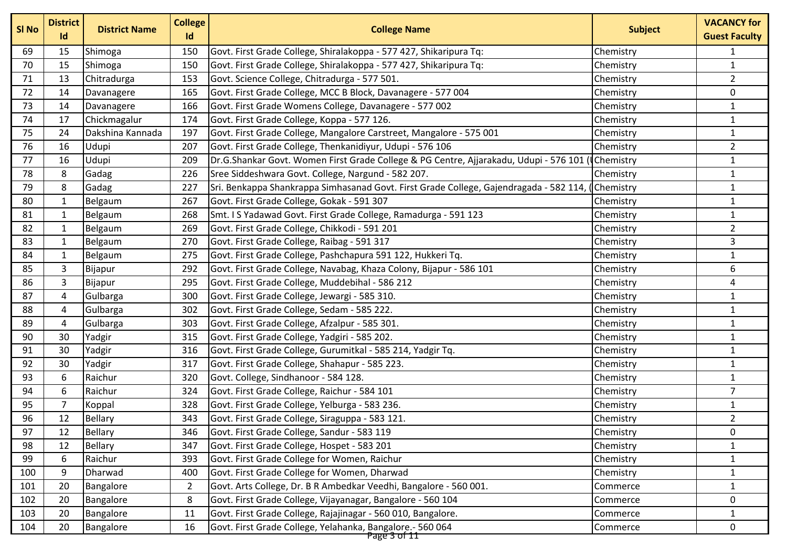| SI No | <b>District</b><br>Id | <b>District Name</b> | <b>College</b><br>Id | <b>College Name</b>                                                                                | <b>Subject</b> | <b>VACANCY for</b><br><b>Guest Faculty</b> |
|-------|-----------------------|----------------------|----------------------|----------------------------------------------------------------------------------------------------|----------------|--------------------------------------------|
| 69    | 15                    | Shimoga              | 150                  | Govt. First Grade College, Shiralakoppa - 577 427, Shikaripura Tq:                                 | Chemistry      | 1                                          |
| 70    | 15                    | Shimoga              | 150                  | Govt. First Grade College, Shiralakoppa - 577 427, Shikaripura Tq:                                 | Chemistry      | $\mathbf{1}$                               |
| 71    | 13                    | Chitradurga          | 153                  | Govt. Science College, Chitradurga - 577 501.                                                      | Chemistry      | $\overline{2}$                             |
| 72    | 14                    | Davanagere           | 165                  | Govt. First Grade College, MCC B Block, Davanagere - 577 004                                       | Chemistry      | 0                                          |
| 73    | 14                    | Davanagere           | 166                  | Govt. First Grade Womens College, Davanagere - 577 002                                             | Chemistry      | $\mathbf{1}$                               |
| 74    | 17                    | Chickmagalur         | 174                  | Govt. First Grade College, Koppa - 577 126.                                                        | Chemistry      | $\mathbf{1}$                               |
| 75    | 24                    | Dakshina Kannada     | 197                  | Govt. First Grade College, Mangalore Carstreet, Mangalore - 575 001                                | Chemistry      | $\mathbf{1}$                               |
| 76    | 16                    | Udupi                | 207                  | Govt. First Grade College, Thenkanidiyur, Udupi - 576 106                                          | Chemistry      | $\overline{2}$                             |
| 77    | 16                    | Udupi                | 209                  | Dr.G.Shankar Govt. Women First Grade College & PG Centre, Ajjarakadu, Udupi - 576 101 (Chemistry   |                | $\mathbf{1}$                               |
| 78    | 8                     | Gadag                | 226                  | Sree Siddeshwara Govt. College, Nargund - 582 207.                                                 | Chemistry      | $\mathbf{1}$                               |
| 79    | 8                     | Gadag                | 227                  | Sri. Benkappa Shankrappa Simhasanad Govt. First Grade College, Gajendragada - 582 114, ( Chemistry |                | $\mathbf{1}$                               |
| 80    | $\mathbf{1}$          | Belgaum              | 267                  | Govt. First Grade College, Gokak - 591 307                                                         | Chemistry      | $\mathbf{1}$                               |
| 81    | 1                     | Belgaum              | 268                  | Smt. I S Yadawad Govt. First Grade College, Ramadurga - 591 123                                    | Chemistry      | $\mathbf{1}$                               |
| 82    | $\mathbf{1}$          | Belgaum              | 269                  | Govt. First Grade College, Chikkodi - 591 201                                                      | Chemistry      | $\overline{2}$                             |
| 83    | $\mathbf{1}$          | Belgaum              | 270                  | Govt. First Grade College, Raibag - 591 317                                                        | Chemistry      | 3                                          |
| 84    | 1                     | Belgaum              | 275                  | Govt. First Grade College, Pashchapura 591 122, Hukkeri Tq.                                        | Chemistry      | $\mathbf{1}$                               |
| 85    | 3                     | Bijapur              | 292                  | Govt. First Grade College, Navabag, Khaza Colony, Bijapur - 586 101                                | Chemistry      | 6                                          |
| 86    | 3                     | Bijapur              | 295                  | Govt. First Grade College, Muddebihal - 586 212                                                    | Chemistry      | 4                                          |
| 87    | 4                     | Gulbarga             | 300                  | Govt. First Grade College, Jewargi - 585 310.                                                      | Chemistry      | $\mathbf{1}$                               |
| 88    | 4                     | Gulbarga             | 302                  | Govt. First Grade College, Sedam - 585 222.                                                        | Chemistry      | $\mathbf{1}$                               |
| 89    | 4                     | Gulbarga             | 303                  | Govt. First Grade College, Afzalpur - 585 301.                                                     | Chemistry      | $\mathbf{1}$                               |
| 90    | 30                    | Yadgir               | 315                  | Govt. First Grade College, Yadgiri - 585 202.                                                      | Chemistry      | $\mathbf{1}$                               |
| 91    | 30                    | Yadgir               | 316                  | Govt. First Grade College, Gurumitkal - 585 214, Yadgir Tq.                                        | Chemistry      | $\mathbf{1}$                               |
| 92    | 30                    | Yadgir               | 317                  | Govt. First Grade College, Shahapur - 585 223.                                                     | Chemistry      | $\mathbf{1}$                               |
| 93    | 6                     | Raichur              | 320                  | Govt. College, Sindhanoor - 584 128.                                                               | Chemistry      | $\mathbf{1}$                               |
| 94    | 6                     | Raichur              | 324                  | Govt. First Grade College, Raichur - 584 101                                                       | Chemistry      | $\overline{7}$                             |
| 95    | $\overline{7}$        | Koppal               | 328                  | Govt. First Grade College, Yelburga - 583 236.                                                     | Chemistry      | $\mathbf{1}$                               |
| 96    | 12                    | <b>Bellary</b>       | 343                  | Govt. First Grade College, Siraguppa - 583 121.                                                    | Chemistry      | $\overline{2}$                             |
| 97    | 12                    | Bellary              | 346                  | Govt. First Grade College, Sandur - 583 119                                                        | Chemistry      | 0                                          |
| 98    | 12                    | <b>Bellary</b>       | 347                  | Govt. First Grade College, Hospet - 583 201                                                        | Chemistry      | $\mathbf{1}$                               |
| 99    | 6                     | Raichur              | 393                  | Govt. First Grade College for Women, Raichur                                                       | Chemistry      | $\mathbf{1}$                               |
| 100   | 9                     | Dharwad              | 400                  | Govt. First Grade College for Women, Dharwad                                                       | Chemistry      | $\mathbf{1}$                               |
| 101   | 20                    | Bangalore            | 2                    | Govt. Arts College, Dr. B R Ambedkar Veedhi, Bangalore - 560 001.                                  | Commerce       | $\mathbf{1}$                               |
| 102   | 20                    | Bangalore            | 8                    | Govt. First Grade College, Vijayanagar, Bangalore - 560 104                                        | Commerce       | 0                                          |
| 103   | 20                    | Bangalore            | 11                   | Govt. First Grade College, Rajajinagar - 560 010, Bangalore.                                       | Commerce       | 1                                          |
| 104   | 20                    | Bangalore            | 16                   | Govt. First Grade College, Yelahanka, Bangalore.- 560 064                                          | Commerce       | 0                                          |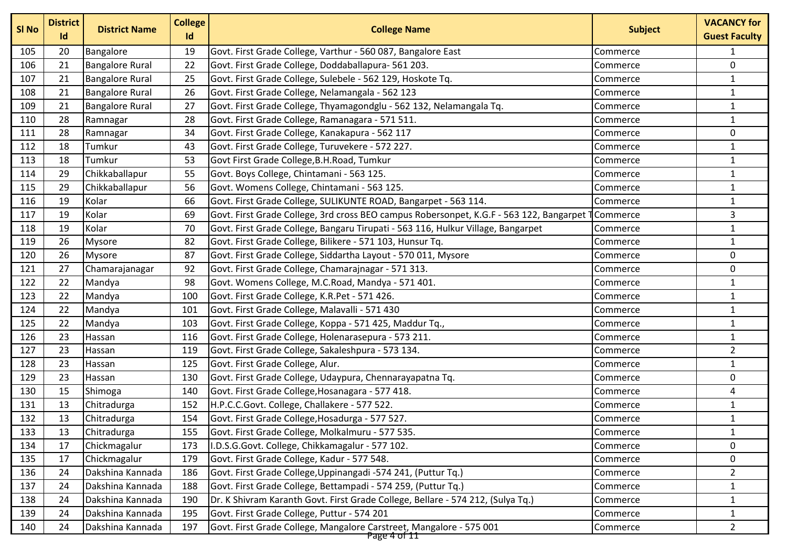| SI No | <b>District</b><br>Id | <b>District Name</b>   | <b>College</b><br>Id | <b>College Name</b>                                                                       | <b>Subject</b> | <b>VACANCY for</b><br><b>Guest Faculty</b> |
|-------|-----------------------|------------------------|----------------------|-------------------------------------------------------------------------------------------|----------------|--------------------------------------------|
| 105   | 20                    | Bangalore              | 19                   | Govt. First Grade College, Varthur - 560 087, Bangalore East                              | Commerce       | $\mathbf{1}$                               |
| 106   | 21                    | <b>Bangalore Rural</b> | 22                   | Govt. First Grade College, Doddaballapura- 561 203.                                       | Commerce       | 0                                          |
| 107   | 21                    | <b>Bangalore Rural</b> | 25                   | Govt. First Grade College, Sulebele - 562 129, Hoskote Tq.                                | Commerce       | $\mathbf{1}$                               |
| 108   | 21                    | <b>Bangalore Rural</b> | 26                   | Govt. First Grade College, Nelamangala - 562 123                                          | Commerce       | $\mathbf{1}$                               |
| 109   | 21                    | <b>Bangalore Rural</b> | 27                   | Govt. First Grade College, Thyamagondglu - 562 132, Nelamangala Tq.                       | Commerce       | $\mathbf{1}$                               |
| 110   | 28                    | Ramnagar               | 28                   | Govt. First Grade College, Ramanagara - 571 511.                                          | Commerce       | $\mathbf{1}$                               |
| 111   | 28                    | Ramnagar               | 34                   | Govt. First Grade College, Kanakapura - 562 117                                           | Commerce       | 0                                          |
| 112   | 18                    | Tumkur                 | 43                   | Govt. First Grade College, Turuvekere - 572 227.                                          | Commerce       | $\mathbf{1}$                               |
| 113   | 18                    | Tumkur                 | 53                   | Govt First Grade College, B.H. Road, Tumkur                                               | Commerce       | $\mathbf{1}$                               |
| 114   | 29                    | Chikkaballapur         | 55                   | Govt. Boys College, Chintamani - 563 125.                                                 | Commerce       | $\mathbf{1}$                               |
| 115   | 29                    | Chikkaballapur         | 56                   | Govt. Womens College, Chintamani - 563 125.                                               | Commerce       | $\mathbf{1}$                               |
| 116   | 19                    | Kolar                  | 66                   | Govt. First Grade College, SULIKUNTE ROAD, Bangarpet - 563 114.                           | Commerce       | $\mathbf{1}$                               |
| 117   | 19                    | Kolar                  | 69                   | Govt. First Grade College, 3rd cross BEO campus Robersonpet, K.G.F - 563 122, Bangarpet 1 | Commerce       | 3                                          |
| 118   | 19                    | Kolar                  | 70                   | Govt. First Grade College, Bangaru Tirupati - 563 116, Hulkur Village, Bangarpet          | Commerce       | $\mathbf{1}$                               |
| 119   | 26                    | <b>Mysore</b>          | 82                   | Govt. First Grade College, Bilikere - 571 103, Hunsur Tq.                                 | Commerce       | $\mathbf{1}$                               |
| 120   | 26                    | <b>Mysore</b>          | 87                   | Govt. First Grade College, Siddartha Layout - 570 011, Mysore                             | Commerce       | 0                                          |
| 121   | 27                    | Chamarajanagar         | 92                   | Govt. First Grade College, Chamarajnagar - 571 313.                                       | Commerce       | 0                                          |
| 122   | 22                    | Mandya                 | 98                   | Govt. Womens College, M.C.Road, Mandya - 571 401.                                         | Commerce       | $\mathbf{1}$                               |
| 123   | 22                    | Mandya                 | 100                  | Govt. First Grade College, K.R.Pet - 571 426.                                             | Commerce       | $\mathbf{1}$                               |
| 124   | 22                    | Mandya                 | 101                  | Govt. First Grade College, Malavalli - 571 430                                            | Commerce       | $\mathbf{1}$                               |
| 125   | 22                    | Mandya                 | 103                  | Govt. First Grade College, Koppa - 571 425, Maddur Tq.,                                   | Commerce       | $\mathbf{1}$                               |
| 126   | 23                    | Hassan                 | 116                  | Govt. First Grade College, Holenarasepura - 573 211.                                      | Commerce       | $\mathbf{1}$                               |
| 127   | 23                    | Hassan                 | 119                  | Govt. First Grade College, Sakaleshpura - 573 134.                                        | Commerce       | $\overline{2}$                             |
| 128   | 23                    | Hassan                 | 125                  | Govt. First Grade College, Alur.                                                          | Commerce       | $\mathbf{1}$                               |
| 129   | 23                    | Hassan                 | 130                  | Govt. First Grade College, Udaypura, Chennarayapatna Tq.                                  | Commerce       | 0                                          |
| 130   | 15                    | Shimoga                | 140                  | Govt. First Grade College, Hosanagara - 577 418.                                          | Commerce       | 4                                          |
| 131   | 13                    | Chitradurga            | 152                  | H.P.C.C.Govt. College, Challakere - 577 522.                                              | Commerce       | $\mathbf{1}$                               |
| 132   | 13                    | Chitradurga            | 154                  | Govt. First Grade College, Hosadurga - 577 527.                                           | Commerce       | $\mathbf{1}$                               |
| 133   | 13                    | Chitradurga            | 155                  | Govt. First Grade College, Molkalmuru - 577 535.                                          | Commerce       | $\mathbf{1}$                               |
| 134   | 17                    | Chickmagalur           | 173                  | I.D.S.G.Govt. College, Chikkamagalur - 577 102.                                           | Commerce       | 0                                          |
| 135   | 17                    | Chickmagalur           | 179                  | Govt. First Grade College, Kadur - 577 548.                                               | Commerce       | 0                                          |
| 136   | 24                    | Dakshina Kannada       | 186                  | Govt. First Grade College, Uppinangadi -574 241, (Puttur Tq.)                             | Commerce       | $\overline{2}$                             |
| 137   | 24                    | Dakshina Kannada       | 188                  | Govt. First Grade College, Bettampadi - 574 259, (Puttur Tq.)                             | Commerce       | $\mathbf{1}$                               |
| 138   | 24                    | Dakshina Kannada       | 190                  | Dr. K Shivram Karanth Govt. First Grade College, Bellare - 574 212, (Sulya Tq.)           | Commerce       | 1                                          |
| 139   | 24                    | Dakshina Kannada       | 195                  | Govt. First Grade College, Puttur - 574 201                                               | Commerce       | 1                                          |
| 140   | 24                    | Dakshina Kannada       | 197                  | Govt. First Grade College, Mangalore Carstreet, Mangalore - 575 001                       | Commerce       | $2^{\circ}$                                |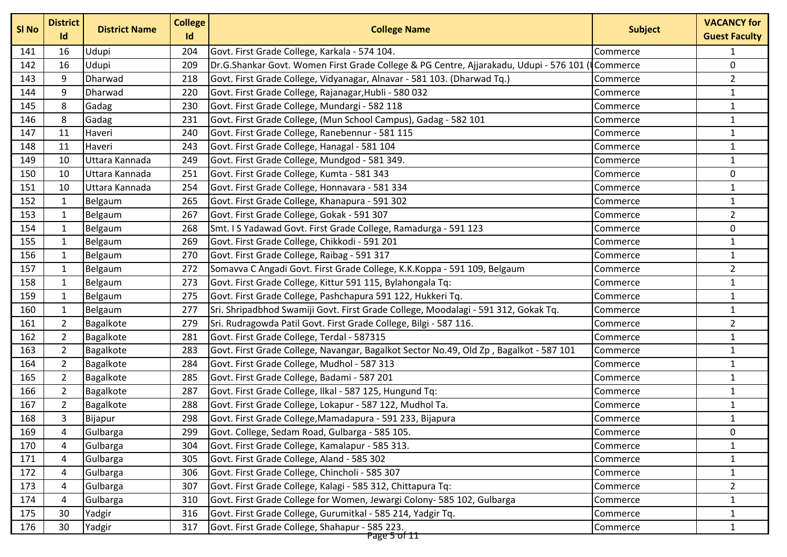| SI No | <b>District</b><br>Id | <b>District Name</b> | <b>College</b><br>Id | <b>College Name</b>                                                                     | <b>Subject</b> | <b>VACANCY for</b><br><b>Guest Faculty</b> |
|-------|-----------------------|----------------------|----------------------|-----------------------------------------------------------------------------------------|----------------|--------------------------------------------|
| 141   | 16                    | Udupi                | 204                  | Govt. First Grade College, Karkala - 574 104.                                           | Commerce       |                                            |
| 142   | 16                    | Udupi                | 209                  | Dr.G.Shankar Govt. Women First Grade College & PG Centre, Ajjarakadu, Udupi - 576 101 ( | Commerce       | $\mathbf 0$                                |
| 143   | 9                     | Dharwad              | 218                  | Govt. First Grade College, Vidyanagar, Alnavar - 581 103. (Dharwad Tq.)                 | Commerce       | $\overline{2}$                             |
| 144   | 9                     | Dharwad              | 220                  | Govt. First Grade College, Rajanagar, Hubli - 580 032                                   | Commerce       | $\mathbf{1}$                               |
| 145   | 8                     | Gadag                | 230                  | Govt. First Grade College, Mundargi - 582 118                                           | Commerce       | $\mathbf{1}$                               |
| 146   | 8                     | Gadag                | 231                  | Govt. First Grade College, (Mun School Campus), Gadag - 582 101                         | Commerce       | $\mathbf{1}$                               |
| 147   | 11                    | Haveri               | 240                  | Govt. First Grade College, Ranebennur - 581 115                                         | Commerce       | $\mathbf{1}$                               |
| 148   | 11                    | Haveri               | 243                  | Govt. First Grade College, Hanagal - 581 104                                            | Commerce       | $\mathbf{1}$                               |
| 149   | 10                    | Uttara Kannada       | 249                  | Govt. First Grade College, Mundgod - 581 349.                                           | Commerce       | $\mathbf{1}$                               |
| 150   | 10                    | Uttara Kannada       | 251                  | Govt. First Grade College, Kumta - 581 343                                              | Commerce       | $\mathbf 0$                                |
| 151   | 10                    | Uttara Kannada       | 254                  | Govt. First Grade College, Honnavara - 581 334                                          | Commerce       | $\mathbf{1}$                               |
| 152   | 1                     | Belgaum              | 265                  | Govt. First Grade College, Khanapura - 591 302                                          | Commerce       | $\mathbf{1}$                               |
| 153   | $\mathbf{1}$          | Belgaum              | 267                  | Govt. First Grade College, Gokak - 591 307                                              | Commerce       | $\overline{2}$                             |
| 154   | $\mathbf{1}$          | Belgaum              | 268                  | Smt. I S Yadawad Govt. First Grade College, Ramadurga - 591 123                         | Commerce       | $\pmb{0}$                                  |
| 155   | $\mathbf{1}$          | Belgaum              | 269                  | Govt. First Grade College, Chikkodi - 591 201                                           | Commerce       | $\mathbf{1}$                               |
| 156   | 1                     | Belgaum              | 270                  | Govt. First Grade College, Raibag - 591 317                                             | Commerce       | 1                                          |
| 157   | $\mathbf{1}$          | Belgaum              | 272                  | Somavva C Angadi Govt. First Grade College, K.K.Koppa - 591 109, Belgaum                | Commerce       | $\overline{2}$                             |
| 158   | $\mathbf{1}$          | Belgaum              | 273                  | Govt. First Grade College, Kittur 591 115, Bylahongala Tq:                              | Commerce       | $\mathbf{1}$                               |
| 159   | $\mathbf{1}$          | Belgaum              | 275                  | Govt. First Grade College, Pashchapura 591 122, Hukkeri Tq.                             | Commerce       | $\mathbf{1}$                               |
| 160   | $\mathbf{1}$          | Belgaum              | 277                  | Sri. Shripadbhod Swamiji Govt. First Grade College, Moodalagi - 591 312, Gokak Tq.      | Commerce       | $\mathbf{1}$                               |
| 161   | $\overline{2}$        | Bagalkote            | 279                  | Sri. Rudragowda Patil Govt. First Grade College, Bilgi - 587 116.                       | Commerce       | $\overline{2}$                             |
| 162   | $\overline{2}$        | Bagalkote            | 281                  | Govt. First Grade College, Terdal - 587315                                              | Commerce       | $\mathbf{1}$                               |
| 163   | $\overline{2}$        | Bagalkote            | 283                  | Govt. First Grade College, Navangar, Bagalkot Sector No.49, Old Zp, Bagalkot - 587 101  | Commerce       | $\mathbf{1}$                               |
| 164   | $\overline{2}$        | Bagalkote            | 284                  | Govt. First Grade College, Mudhol - 587 313                                             | Commerce       | $\mathbf{1}$                               |
| 165   | $\overline{2}$        | Bagalkote            | 285                  | Govt. First Grade College, Badami - 587 201                                             | Commerce       | $\mathbf{1}$                               |
| 166   | $\overline{2}$        | Bagalkote            | 287                  | Govt. First Grade College, Ilkal - 587 125, Hungund Tq:                                 | Commerce       | $\mathbf{1}$                               |
| 167   | $\overline{2}$        | Bagalkote            | 288                  | Govt. First Grade College, Lokapur - 587 122, Mudhol Ta.                                | Commerce       | $\mathbf{1}$                               |
| 168   | 3                     | Bijapur              | 298                  | Govt. First Grade College, Mamadapura - 591 233, Bijapura                               | Commerce       | $\mathbf{1}$                               |
| 169   | 4                     | Gulbarga             | 299                  | Govt. College, Sedam Road, Gulbarga - 585 105.                                          | Commerce       | 0                                          |
| 170   | 4                     | Gulbarga             | 304                  | Govt. First Grade College, Kamalapur - 585 313.                                         | Commerce       | $\mathbf{1}$                               |
| 171   | 4                     | Gulbarga             | 305                  | Govt. First Grade College, Aland - 585 302                                              | Commerce       | $\mathbf{1}$                               |
| 172   | 4                     | Gulbarga             | 306                  | Govt. First Grade College, Chincholi - 585 307                                          | Commerce       | $\mathbf{1}$                               |
| 173   | 4                     | Gulbarga             | 307                  | Govt. First Grade College, Kalagi - 585 312, Chittapura Tq:                             | Commerce       | $\overline{2}$                             |
| 174   | 4                     | Gulbarga             | 310                  | Govt. First Grade College for Women, Jewargi Colony- 585 102, Gulbarga                  | Commerce       | $\mathbf{1}$                               |
| 175   | 30                    | Yadgir               | 316                  | Govt. First Grade College, Gurumitkal - 585 214, Yadgir Tq.                             | Commerce       | 1                                          |
| 176   | 30                    | Yadgir               | 317                  | Govt. First Grade College, Shahapur - 585 223.<br>Page 5 of 11                          | Commerce       | $\mathbf{1}$                               |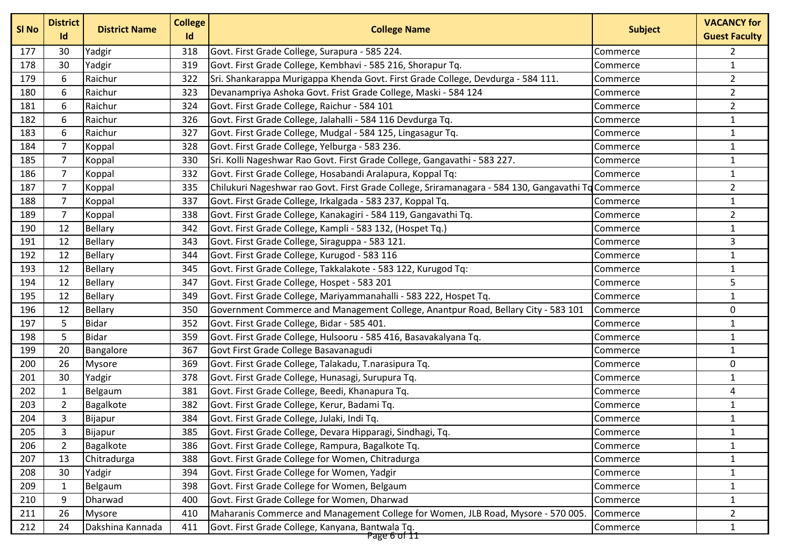| SI No | <b>District</b><br>Id | <b>District Name</b> | <b>College</b><br>Id | <b>College Name</b>                                                                                | <b>Subject</b> | <b>VACANCY for</b><br><b>Guest Faculty</b> |
|-------|-----------------------|----------------------|----------------------|----------------------------------------------------------------------------------------------------|----------------|--------------------------------------------|
| 177   | 30                    | Yadgir               | 318                  | Govt. First Grade College, Surapura - 585 224.                                                     | Commerce       | $\overline{2}$                             |
| 178   | 30                    | Yadgir               | 319                  | Govt. First Grade College, Kembhavi - 585 216, Shorapur Tq.                                        | Commerce       | $\mathbf{1}$                               |
| 179   | 6                     | Raichur              | 322                  | Sri. Shankarappa Murigappa Khenda Govt. First Grade College, Devdurga - 584 111.                   | Commerce       | $\overline{2}$                             |
| 180   | 6                     | Raichur              | 323                  | Devanampriya Ashoka Govt. Frist Grade College, Maski - 584 124                                     | Commerce       | $\overline{2}$                             |
| 181   | 6                     | Raichur              | 324                  | Govt. First Grade College, Raichur - 584 101                                                       | Commerce       | $\overline{2}$                             |
| 182   | 6                     | Raichur              | 326                  | Govt. First Grade College, Jalahalli - 584 116 Devdurga Tq.                                        | Commerce       | $\mathbf{1}$                               |
| 183   | 6                     | Raichur              | 327                  | Govt. First Grade College, Mudgal - 584 125, Lingasagur Tq.                                        | Commerce       | $\mathbf{1}$                               |
| 184   | $\overline{7}$        | Koppal               | 328                  | Govt. First Grade College, Yelburga - 583 236.                                                     | Commerce       | $\mathbf{1}$                               |
| 185   | 7                     | Koppal               | 330                  | Sri. Kolli Nageshwar Rao Govt. First Grade College, Gangavathi - 583 227.                          | Commerce       | $\mathbf{1}$                               |
| 186   | $\overline{7}$        | Koppal               | 332                  | Govt. First Grade College, Hosabandi Aralapura, Koppal Tq:                                         | Commerce       | $\mathbf{1}$                               |
| 187   | 7                     | Koppal               | 335                  | Chilukuri Nageshwar rao Govt. First Grade College, Sriramanagara - 584 130, Gangavathi Tq Commerce |                | $\overline{2}$                             |
| 188   | $\overline{7}$        | Koppal               | 337                  | Govt. First Grade College, Irkalgada - 583 237, Koppal Tq.                                         | Commerce       | $\mathbf{1}$                               |
| 189   | $\overline{7}$        | Koppal               | 338                  | Govt. First Grade College, Kanakagiri - 584 119, Gangavathi Tq.                                    | Commerce       | $\overline{2}$                             |
| 190   | 12                    | <b>Bellary</b>       | 342                  | Govt. First Grade College, Kampli - 583 132, (Hospet Tq.)                                          | Commerce       | $\mathbf{1}$                               |
| 191   | 12                    | <b>Bellary</b>       | 343                  | Govt. First Grade College, Siraguppa - 583 121.                                                    | Commerce       | 3                                          |
| 192   | 12                    | Bellary              | 344                  | Govt. First Grade College, Kurugod - 583 116                                                       | Commerce       | $\mathbf{1}$                               |
| 193   | 12                    | <b>Bellary</b>       | 345                  | Govt. First Grade College, Takkalakote - 583 122, Kurugod Tq:                                      | Commerce       | $\mathbf{1}$                               |
| 194   | 12                    | Bellary              | 347                  | Govt. First Grade College, Hospet - 583 201                                                        | Commerce       | 5                                          |
| 195   | 12                    | Bellary              | 349                  | Govt. First Grade College, Mariyammanahalli - 583 222, Hospet Tq.                                  | Commerce       | $\mathbf{1}$                               |
| 196   | 12                    | <b>Bellary</b>       | 350                  | Government Commerce and Management College, Anantpur Road, Bellary City - 583 101                  | Commerce       | $\pmb{0}$                                  |
| 197   | 5                     | <b>Bidar</b>         | 352                  | Govt. First Grade College, Bidar - 585 401.                                                        | Commerce       | $\mathbf{1}$                               |
| 198   | 5                     | <b>Bidar</b>         | 359                  | Govt. First Grade College, Hulsooru - 585 416, Basavakalyana Tq.                                   | Commerce       | $\mathbf{1}$                               |
| 199   | 20                    | Bangalore            | 367                  | Govt First Grade College Basavanagudi                                                              | Commerce       | $\mathbf{1}$                               |
| 200   | 26                    | Mysore               | 369                  | Govt. First Grade College, Talakadu, T.narasipura Tq.                                              | Commerce       | $\mathbf 0$                                |
| 201   | 30                    | Yadgir               | 378                  | Govt. First Grade College, Hunasagi, Surupura Tq.                                                  | Commerce       | $\mathbf{1}$                               |
| 202   | 1                     | Belgaum              | 381                  | Govt. First Grade College, Beedi, Khanapura Tq.                                                    | Commerce       | $\sqrt{4}$                                 |
| 203   | $\overline{2}$        | Bagalkote            | 382                  | Govt. First Grade College, Kerur, Badami Tq.                                                       | Commerce       | $\mathbf{1}$                               |
| 204   | 3                     | Bijapur              | 384                  | Govt. First Grade College, Julaki, Indi Tq.                                                        | Commerce       | $\mathbf{1}$                               |
| 205   | 3                     | Bijapur              | 385                  | Govt. First Grade College, Devara Hipparagi, Sindhagi, Tq.                                         | Commerce       | $\mathbf{1}$                               |
| 206   | $\overline{2}$        | Bagalkote            | 386                  | Govt. First Grade College, Rampura, Bagalkote Tq.                                                  | Commerce       | $\mathbf{1}$                               |
| 207   | 13                    | Chitradurga          | 388                  | Govt. First Grade College for Women, Chitradurga                                                   | Commerce       | $\mathbf{1}$                               |
| 208   | 30                    | Yadgir               | 394                  | Govt. First Grade College for Women, Yadgir                                                        | Commerce       | $\mathbf{1}$                               |
| 209   | 1                     | Belgaum              | 398                  | Govt. First Grade College for Women, Belgaum                                                       | Commerce       | $\mathbf{1}$                               |
| 210   | 9                     | Dharwad              | 400                  | Govt. First Grade College for Women, Dharwad                                                       | Commerce       | $\mathbf{1}$                               |
| 211   | 26                    | <b>Mysore</b>        | 410                  | Maharanis Commerce and Management College for Women, JLB Road, Mysore - 570 005.                   | Commerce       | $\overline{2}$                             |
| 212   | 24                    | Dakshina Kannada     | 411                  | Govt. First Grade College, Kanyana, Bantwala Tq.                                                   | Commerce       | $\mathbf{1}$                               |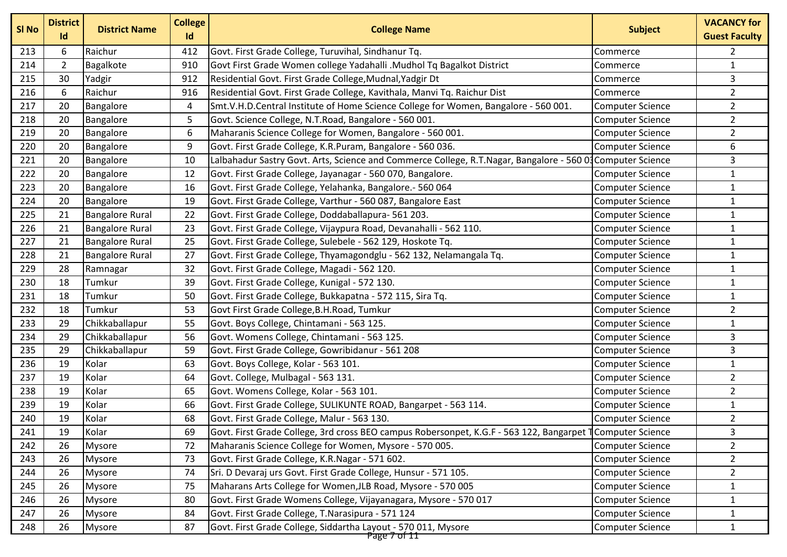| SI <sub>No</sub> | <b>District</b><br>Id | <b>District Name</b>   | <b>College</b><br>Id | <b>College Name</b>                                                                                        | <b>Subject</b>          | <b>VACANCY for</b><br><b>Guest Faculty</b> |
|------------------|-----------------------|------------------------|----------------------|------------------------------------------------------------------------------------------------------------|-------------------------|--------------------------------------------|
| 213              | 6                     | Raichur                | 412                  | Govt. First Grade College, Turuvihal, Sindhanur Tq.                                                        | Commerce                | 2                                          |
| 214              | $\overline{2}$        | Bagalkote              | 910                  | Govt First Grade Women college Yadahalli .Mudhol Tq Bagalkot District                                      | Commerce                | $\mathbf{1}$                               |
| 215              | 30                    | Yadgir                 | 912                  | Residential Govt. First Grade College, Mudnal, Yadgir Dt                                                   | Commerce                | 3                                          |
| 216              | 6                     | Raichur                | 916                  | Residential Govt. First Grade College, Kavithala, Manvi Tq. Raichur Dist                                   | Commerce                | $\overline{2}$                             |
| 217              | 20                    | Bangalore              | 4                    | Smt.V.H.D.Central Institute of Home Science College for Women, Bangalore - 560 001.                        | <b>Computer Science</b> | $\overline{2}$                             |
| 218              | 20                    | Bangalore              | 5                    | Govt. Science College, N.T.Road, Bangalore - 560 001.                                                      | <b>Computer Science</b> | $\overline{2}$                             |
| 219              | 20                    | Bangalore              | 6                    | Maharanis Science College for Women, Bangalore - 560 001.                                                  | <b>Computer Science</b> | $\overline{2}$                             |
| 220              | 20                    | Bangalore              | 9                    | Govt. First Grade College, K.R.Puram, Bangalore - 560 036.                                                 | <b>Computer Science</b> | 6                                          |
| 221              | 20                    | Bangalore              | 10                   | Lalbahadur Sastry Govt. Arts, Science and Commerce College, R.T.Nagar, Bangalore - 560 03 Computer Science |                         | 3                                          |
| 222              | 20                    | Bangalore              | 12                   | Govt. First Grade College, Jayanagar - 560 070, Bangalore.                                                 | <b>Computer Science</b> | $\mathbf{1}$                               |
| 223              | 20                    | Bangalore              | 16                   | Govt. First Grade College, Yelahanka, Bangalore.- 560 064                                                  | <b>Computer Science</b> | $\mathbf{1}$                               |
| 224              | 20                    | Bangalore              | 19                   | Govt. First Grade College, Varthur - 560 087, Bangalore East                                               | <b>Computer Science</b> | $\mathbf{1}$                               |
| 225              | 21                    | <b>Bangalore Rural</b> | 22                   | Govt. First Grade College, Doddaballapura- 561 203.                                                        | <b>Computer Science</b> | $\mathbf{1}$                               |
| 226              | 21                    | <b>Bangalore Rural</b> | 23                   | Govt. First Grade College, Vijaypura Road, Devanahalli - 562 110.                                          | <b>Computer Science</b> | $\mathbf{1}$                               |
| 227              | 21                    | <b>Bangalore Rural</b> | 25                   | Govt. First Grade College, Sulebele - 562 129, Hoskote Tq.                                                 | <b>Computer Science</b> | $\mathbf{1}$                               |
| 228              | 21                    | <b>Bangalore Rural</b> | 27                   | Govt. First Grade College, Thyamagondglu - 562 132, Nelamangala Tq.                                        | <b>Computer Science</b> | $\mathbf{1}$                               |
| 229              | 28                    | Ramnagar               | 32                   | Govt. First Grade College, Magadi - 562 120.                                                               | <b>Computer Science</b> | $\mathbf{1}$                               |
| 230              | 18                    | Tumkur                 | 39                   | Govt. First Grade College, Kunigal - 572 130.                                                              | <b>Computer Science</b> | $\mathbf{1}$                               |
| 231              | 18                    | Tumkur                 | 50                   | Govt. First Grade College, Bukkapatna - 572 115, Sira Tq.                                                  | <b>Computer Science</b> | $\mathbf{1}$                               |
| 232              | 18                    | Tumkur                 | 53                   | Govt First Grade College, B.H. Road, Tumkur                                                                | <b>Computer Science</b> | $\overline{2}$                             |
| 233              | 29                    | Chikkaballapur         | 55                   | Govt. Boys College, Chintamani - 563 125.                                                                  | <b>Computer Science</b> | $\mathbf{1}$                               |
| 234              | 29                    | Chikkaballapur         | 56                   | Govt. Womens College, Chintamani - 563 125.                                                                | <b>Computer Science</b> | 3                                          |
| 235              | 29                    | Chikkaballapur         | 59                   | Govt. First Grade College, Gowribidanur - 561 208                                                          | <b>Computer Science</b> | 3                                          |
| 236              | 19                    | Kolar                  | 63                   | Govt. Boys College, Kolar - 563 101.                                                                       | <b>Computer Science</b> | $\mathbf{1}$                               |
| 237              | 19                    | Kolar                  | 64                   | Govt. College, Mulbagal - 563 131.                                                                         | <b>Computer Science</b> | $\overline{2}$                             |
| 238              | 19                    | Kolar                  | 65                   | Govt. Womens College, Kolar - 563 101.                                                                     | <b>Computer Science</b> | $\overline{2}$                             |
| 239              | 19                    | Kolar                  | 66                   | Govt. First Grade College, SULIKUNTE ROAD, Bangarpet - 563 114.                                            | <b>Computer Science</b> | $\mathbf{1}$                               |
| 240              | 19                    | Kolar                  | 68                   | Govt. First Grade College, Malur - 563 130.                                                                | <b>Computer Science</b> | $\overline{2}$                             |
| 241              | 19                    | Kolar                  | 69                   | Govt. First Grade College, 3rd cross BEO campus Robersonpet, K.G.F - 563 122, Bangarpet 1 Computer Science |                         | 3                                          |
| 242              | 26                    | Mysore                 | 72                   | Maharanis Science College for Women, Mysore - 570 005.                                                     | <b>Computer Science</b> | $\overline{2}$                             |
| 243              | 26                    | <b>Mysore</b>          | 73                   | Govt. First Grade College, K.R.Nagar - 571 602.                                                            | <b>Computer Science</b> | $\overline{2}$                             |
| 244              | 26                    | Mysore                 | 74                   | Sri. D Devaraj urs Govt. First Grade College, Hunsur - 571 105.                                            | <b>Computer Science</b> | $\overline{2}$                             |
| 245              | 26                    | <b>Mysore</b>          | 75                   | Maharans Arts College for Women, JLB Road, Mysore - 570 005                                                | <b>Computer Science</b> | $\mathbf{1}$                               |
| 246              | 26                    | <b>Mysore</b>          | 80                   | Govt. First Grade Womens College, Vijayanagara, Mysore - 570 017                                           | <b>Computer Science</b> | $\mathbf{1}$                               |
| 247              | 26                    | Mysore                 | 84                   | Govt. First Grade College, T.Narasipura - 571 124                                                          | <b>Computer Science</b> | $\mathbf{1}$                               |
| 248              | 26                    | Mysore                 | 87                   | Govt. First Grade College, Siddartha Layout - 570 011, Mysore<br>Page 7 of 11                              | <b>Computer Science</b> | $\mathbf{1}$                               |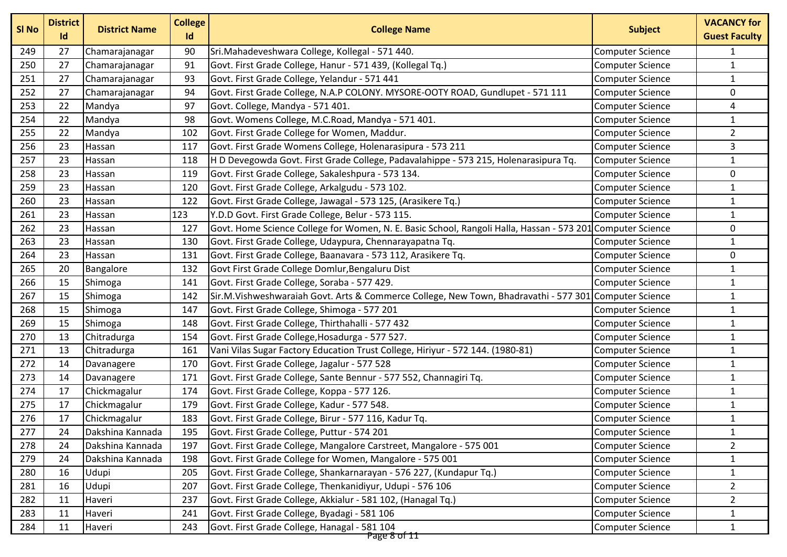| SI No | <b>District</b><br>Id | <b>District Name</b> | <b>College</b><br>Id | <b>College Name</b>                                                                                        | <b>Subject</b>          | <b>VACANCY for</b><br><b>Guest Faculty</b> |
|-------|-----------------------|----------------------|----------------------|------------------------------------------------------------------------------------------------------------|-------------------------|--------------------------------------------|
| 249   | 27                    | Chamarajanagar       | 90                   | Sri.Mahadeveshwara College, Kollegal - 571 440.                                                            | <b>Computer Science</b> | 1                                          |
| 250   | 27                    | Chamarajanagar       | 91                   | Govt. First Grade College, Hanur - 571 439, (Kollegal Tq.)                                                 | <b>Computer Science</b> | $\mathbf{1}$                               |
| 251   | 27                    | Chamarajanagar       | 93                   | Govt. First Grade College, Yelandur - 571 441                                                              | <b>Computer Science</b> | $\mathbf{1}$                               |
| 252   | 27                    | Chamarajanagar       | 94                   | Govt. First Grade College, N.A.P COLONY. MYSORE-OOTY ROAD, Gundlupet - 571 111                             | <b>Computer Science</b> | 0                                          |
| 253   | 22                    | Mandya               | 97                   | Govt. College, Mandya - 571 401.                                                                           | <b>Computer Science</b> | 4                                          |
| 254   | 22                    | Mandya               | 98                   | Govt. Womens College, M.C.Road, Mandya - 571 401.                                                          | <b>Computer Science</b> | $\mathbf{1}$                               |
| 255   | 22                    | Mandya               | 102                  | Govt. First Grade College for Women, Maddur.                                                               | Computer Science        | $\overline{2}$                             |
| 256   | 23                    | Hassan               | 117                  | Govt. First Grade Womens College, Holenarasipura - 573 211                                                 | <b>Computer Science</b> | 3                                          |
| 257   | 23                    | Hassan               | 118                  | H D Devegowda Govt. First Grade College, Padavalahippe - 573 215, Holenarasipura Tq.                       | <b>Computer Science</b> | $\mathbf{1}$                               |
| 258   | 23                    | Hassan               | 119                  | Govt. First Grade College, Sakaleshpura - 573 134.                                                         | <b>Computer Science</b> | 0                                          |
| 259   | 23                    | Hassan               | 120                  | Govt. First Grade College, Arkalgudu - 573 102.                                                            | <b>Computer Science</b> | $\mathbf{1}$                               |
| 260   | 23                    | Hassan               | 122                  | Govt. First Grade College, Jawagal - 573 125, (Arasikere Tq.)                                              | <b>Computer Science</b> | $\mathbf{1}$                               |
| 261   | 23                    | Hassan               | 123                  | Y.D.D Govt. First Grade College, Belur - 573 115.                                                          | <b>Computer Science</b> | $\mathbf{1}$                               |
| 262   | 23                    | Hassan               | 127                  | Govt. Home Science College for Women, N. E. Basic School, Rangoli Halla, Hassan - 573 201 Computer Science |                         | 0                                          |
| 263   | 23                    | Hassan               | 130                  | Govt. First Grade College, Udaypura, Chennarayapatna Tq.                                                   | <b>Computer Science</b> | $\mathbf{1}$                               |
| 264   | 23                    | Hassan               | 131                  | Govt. First Grade College, Baanavara - 573 112, Arasikere Tq.                                              | <b>Computer Science</b> | 0                                          |
| 265   | 20                    | Bangalore            | 132                  | Govt First Grade College Domlur, Bengaluru Dist                                                            | <b>Computer Science</b> | $\mathbf{1}$                               |
| 266   | 15                    | Shimoga              | 141                  | Govt. First Grade College, Soraba - 577 429.                                                               | <b>Computer Science</b> | $\mathbf{1}$                               |
| 267   | 15                    | Shimoga              | 142                  | Sir.M.Vishweshwaraiah Govt. Arts & Commerce College, New Town, Bhadravathi - 577 301 Computer Science      |                         | $\mathbf{1}$                               |
| 268   | 15                    | Shimoga              | 147                  | Govt. First Grade College, Shimoga - 577 201                                                               | <b>Computer Science</b> | $\mathbf{1}$                               |
| 269   | 15                    | Shimoga              | 148                  | Govt. First Grade College, Thirthahalli - 577 432                                                          | Computer Science        | $\mathbf{1}$                               |
| 270   | 13                    | Chitradurga          | 154                  | Govt. First Grade College, Hosadurga - 577 527.                                                            | <b>Computer Science</b> | $\mathbf{1}$                               |
| 271   | 13                    | Chitradurga          | 161                  | Vani Vilas Sugar Factory Education Trust College, Hiriyur - 572 144. (1980-81)                             | <b>Computer Science</b> | $\mathbf{1}$                               |
| 272   | 14                    | Davanagere           | 170                  | Govt. First Grade College, Jagalur - 577 528                                                               | <b>Computer Science</b> | $\mathbf{1}$                               |
| 273   | 14                    | Davanagere           | 171                  | Govt. First Grade College, Sante Bennur - 577 552, Channagiri Tq.                                          | <b>Computer Science</b> | $\mathbf{1}$                               |
| 274   | 17                    | Chickmagalur         | 174                  | Govt. First Grade College, Koppa - 577 126.                                                                | Computer Science        | $\mathbf{1}$                               |
| 275   | 17                    | Chickmagalur         | 179                  | Govt. First Grade College, Kadur - 577 548.                                                                | <b>Computer Science</b> | $\mathbf{1}$                               |
| 276   | 17                    | Chickmagalur         | 183                  | Govt. First Grade College, Birur - 577 116, Kadur Tq.                                                      | <b>Computer Science</b> | $\mathbf{1}$                               |
| 277   | 24                    | Dakshina Kannada     | 195                  | Govt. First Grade College, Puttur - 574 201                                                                | Computer Science        | $\mathbf{1}$                               |
| 278   | 24                    | Dakshina Kannada     | 197                  | Govt. First Grade College, Mangalore Carstreet, Mangalore - 575 001                                        | <b>Computer Science</b> | $\overline{2}$                             |
| 279   | 24                    | Dakshina Kannada     | 198                  | Govt. First Grade College for Women, Mangalore - 575 001                                                   | <b>Computer Science</b> | $\mathbf{1}$                               |
| 280   | 16                    | Udupi                | 205                  | Govt. First Grade College, Shankarnarayan - 576 227, (Kundapur Tq.)                                        | <b>Computer Science</b> | $\mathbf{1}$                               |
| 281   | 16                    | Udupi                | 207                  | Govt. First Grade College, Thenkanidiyur, Udupi - 576 106                                                  | <b>Computer Science</b> | $\overline{2}$                             |
| 282   | 11                    | Haveri               | 237                  | Govt. First Grade College, Akkialur - 581 102, (Hanagal Tq.)                                               | <b>Computer Science</b> | $\overline{2}$                             |
| 283   | 11                    | Haveri               | 241                  | Govt. First Grade College, Byadagi - 581 106                                                               | <b>Computer Science</b> | $\mathbf{1}$                               |
| 284   | 11                    | Haveri               | 243                  | Govt. First Grade College, Hanagal - 581 104<br>Page 8 of 11                                               | <b>Computer Science</b> | $\mathbf{1}$                               |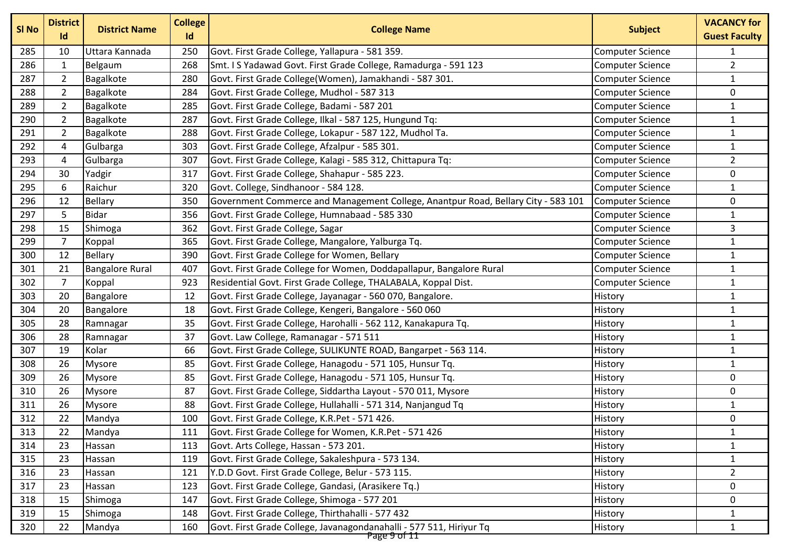| SI No | <b>District</b><br>Id | <b>District Name</b>   | <b>College</b><br>Id | <b>College Name</b>                                                               | <b>Subject</b>          | <b>VACANCY for</b><br><b>Guest Faculty</b> |
|-------|-----------------------|------------------------|----------------------|-----------------------------------------------------------------------------------|-------------------------|--------------------------------------------|
| 285   | 10                    | Uttara Kannada         | 250                  | Govt. First Grade College, Yallapura - 581 359.                                   | Computer Science        | $\mathbf{1}$                               |
| 286   | $\mathbf{1}$          | Belgaum                | 268                  | Smt. I S Yadawad Govt. First Grade College, Ramadurga - 591 123                   | <b>Computer Science</b> | $\overline{2}$                             |
| 287   | $\overline{2}$        | Bagalkote              | 280                  | Govt. First Grade College(Women), Jamakhandi - 587 301.                           | <b>Computer Science</b> | $\mathbf{1}$                               |
| 288   | $\overline{2}$        | Bagalkote              | 284                  | Govt. First Grade College, Mudhol - 587 313                                       | <b>Computer Science</b> | 0                                          |
| 289   | 2                     | Bagalkote              | 285                  | Govt. First Grade College, Badami - 587 201                                       | <b>Computer Science</b> | $\mathbf{1}$                               |
| 290   | $\overline{2}$        | Bagalkote              | 287                  | Govt. First Grade College, Ilkal - 587 125, Hungund Tq:                           | <b>Computer Science</b> | $\mathbf{1}$                               |
| 291   | $\overline{2}$        | Bagalkote              | 288                  | Govt. First Grade College, Lokapur - 587 122, Mudhol Ta.                          | Computer Science        | $\mathbf{1}$                               |
| 292   | 4                     | Gulbarga               | 303                  | Govt. First Grade College, Afzalpur - 585 301.                                    | <b>Computer Science</b> | $\mathbf{1}$                               |
| 293   | 4                     | Gulbarga               | 307                  | Govt. First Grade College, Kalagi - 585 312, Chittapura Tq:                       | <b>Computer Science</b> | $\overline{2}$                             |
| 294   | 30                    | Yadgir                 | 317                  | Govt. First Grade College, Shahapur - 585 223.                                    | <b>Computer Science</b> | 0                                          |
| 295   | 6                     | Raichur                | 320                  | Govt. College, Sindhanoor - 584 128.                                              | <b>Computer Science</b> | $\mathbf{1}$                               |
| 296   | 12                    | <b>Bellary</b>         | 350                  | Government Commerce and Management College, Anantpur Road, Bellary City - 583 101 | <b>Computer Science</b> | 0                                          |
| 297   | 5                     | <b>Bidar</b>           | 356                  | Govt. First Grade College, Humnabaad - 585 330                                    | <b>Computer Science</b> | $\mathbf{1}$                               |
| 298   | 15                    | Shimoga                | 362                  | Govt. First Grade College, Sagar                                                  | <b>Computer Science</b> | 3                                          |
| 299   | $\overline{7}$        | Koppal                 | 365                  | Govt. First Grade College, Mangalore, Yalburga Tq.                                | <b>Computer Science</b> | $\mathbf{1}$                               |
| 300   | 12                    | <b>Bellary</b>         | 390                  | Govt. First Grade College for Women, Bellary                                      | Computer Science        | $\mathbf{1}$                               |
| 301   | 21                    | <b>Bangalore Rural</b> | 407                  | Govt. First Grade College for Women, Doddapallapur, Bangalore Rural               | <b>Computer Science</b> | $\mathbf{1}$                               |
| 302   | $\overline{7}$        | Koppal                 | 923                  | Residential Govt. First Grade College, THALABALA, Koppal Dist.                    | <b>Computer Science</b> | $\mathbf{1}$                               |
| 303   | 20                    | Bangalore              | 12                   | Govt. First Grade College, Jayanagar - 560 070, Bangalore.                        | History                 | $1\,$                                      |
| 304   | 20                    | Bangalore              | 18                   | Govt. First Grade College, Kengeri, Bangalore - 560 060                           | History                 | $\mathbf{1}$                               |
| 305   | 28                    | Ramnagar               | 35                   | Govt. First Grade College, Harohalli - 562 112, Kanakapura Tq.                    | History                 | $\mathbf{1}$                               |
| 306   | 28                    | Ramnagar               | 37                   | Govt. Law College, Ramanagar - 571 511                                            | History                 | $\mathbf{1}$                               |
| 307   | 19                    | Kolar                  | 66                   | Govt. First Grade College, SULIKUNTE ROAD, Bangarpet - 563 114.                   | History                 | $\mathbf{1}$                               |
| 308   | 26                    | <b>Mysore</b>          | 85                   | Govt. First Grade College, Hanagodu - 571 105, Hunsur Tq.                         | History                 | $\mathbf{1}$                               |
| 309   | 26                    | <b>Mysore</b>          | 85                   | Govt. First Grade College, Hanagodu - 571 105, Hunsur Tq.                         | History                 | 0                                          |
| 310   | 26                    | <b>Mysore</b>          | 87                   | Govt. First Grade College, Siddartha Layout - 570 011, Mysore                     | History                 | 0                                          |
| 311   | 26                    | <b>Mysore</b>          | 88                   | Govt. First Grade College, Hullahalli - 571 314, Nanjangud Tq                     | History                 | $\mathbf{1}$                               |
| 312   | 22                    | Mandya                 | 100                  | Govt. First Grade College, K.R.Pet - 571 426.                                     | History                 | 0                                          |
| 313   | 22                    | Mandya                 | 111                  | Govt. First Grade College for Women, K.R.Pet - 571 426                            | History                 | $\mathbf{1}$                               |
| 314   | 23                    | Hassan                 | 113                  | Govt. Arts College, Hassan - 573 201.                                             | History                 | $\mathbf{1}$                               |
| 315   | 23                    | Hassan                 | 119                  | Govt. First Grade College, Sakaleshpura - 573 134.                                | History                 | $\mathbf{1}$                               |
| 316   | 23                    | Hassan                 | 121                  | Y.D.D Govt. First Grade College, Belur - 573 115.                                 | History                 | $\overline{2}$                             |
| 317   | 23                    | Hassan                 | 123                  | Govt. First Grade College, Gandasi, (Arasikere Tq.)                               | History                 | 0                                          |
| 318   | 15                    | Shimoga                | 147                  | Govt. First Grade College, Shimoga - 577 201                                      | History                 | 0                                          |
| 319   | 15                    | Shimoga                | 148                  | Govt. First Grade College, Thirthahalli - 577 432                                 | History                 | 1                                          |
| 320   | 22                    | Mandya                 | 160                  | Govt. First Grade College, Javanagondanahalli - 577 511, Hiriyur Tq               | History                 | $\mathbf{1}$                               |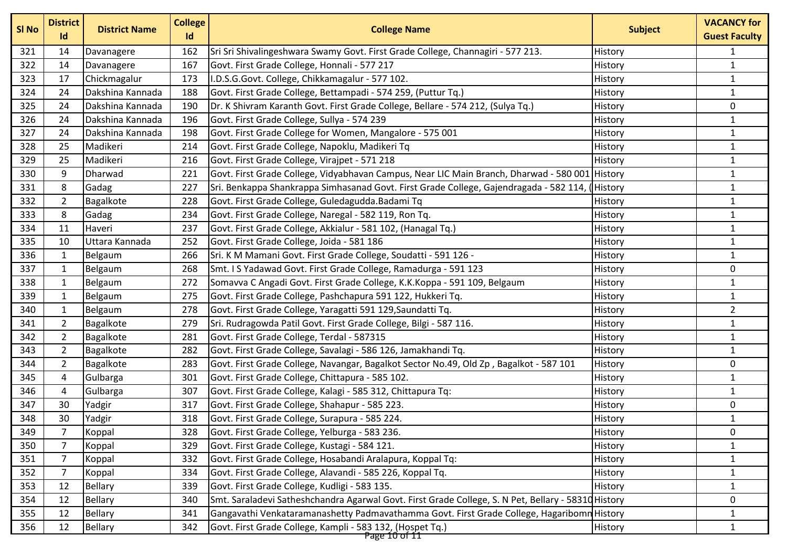| SI <sub>No</sub> | <b>District</b><br>Id | <b>District Name</b> | <b>College</b><br>Id | <b>College Name</b>                                                                                 | <b>Subject</b> | <b>VACANCY for</b><br><b>Guest Faculty</b> |
|------------------|-----------------------|----------------------|----------------------|-----------------------------------------------------------------------------------------------------|----------------|--------------------------------------------|
| 321              | 14                    | Davanagere           | 162                  | Sri Sri Shivalingeshwara Swamy Govt. First Grade College, Channagiri - 577 213.                     | History        | 1                                          |
| 322              | 14                    | Davanagere           | 167                  | Govt. First Grade College, Honnali - 577 217                                                        | History        | $\mathbf{1}$                               |
| 323              | 17                    | Chickmagalur         | 173                  | I.D.S.G.Govt. College, Chikkamagalur - 577 102.                                                     | History        | $\mathbf{1}$                               |
| 324              | 24                    | Dakshina Kannada     | 188                  | Govt. First Grade College, Bettampadi - 574 259, (Puttur Tq.)                                       | History        | $\mathbf{1}$                               |
| 325              | 24                    | Dakshina Kannada     | 190                  | Dr. K Shivram Karanth Govt. First Grade College, Bellare - 574 212, (Sulya Tq.)                     | History        | 0                                          |
| 326              | 24                    | Dakshina Kannada     | 196                  | Govt. First Grade College, Sullya - 574 239                                                         | History        | $\mathbf{1}$                               |
| 327              | 24                    | Dakshina Kannada     | 198                  | Govt. First Grade College for Women, Mangalore - 575 001                                            | History        | $\mathbf{1}$                               |
| 328              | 25                    | Madikeri             | 214                  | Govt. First Grade College, Napoklu, Madikeri Tq                                                     | History        | $\mathbf{1}$                               |
| 329              | 25                    | Madikeri             | 216                  | Govt. First Grade College, Virajpet - 571 218                                                       | History        | $\mathbf{1}$                               |
| 330              | 9                     | Dharwad              | 221                  | Govt. First Grade College, Vidyabhavan Campus, Near LIC Main Branch, Dharwad - 580 001 History      |                | $\mathbf{1}$                               |
| 331              | 8                     | Gadag                | 227                  | Sri. Benkappa Shankrappa Simhasanad Govt. First Grade College, Gajendragada - 582 114,              | History        | 1                                          |
| 332              | $\overline{2}$        | Bagalkote            | 228                  | Govt. First Grade College, Guledagudda. Badami Tq                                                   | History        | $\mathbf{1}$                               |
| 333              | 8                     | Gadag                | 234                  | Govt. First Grade College, Naregal - 582 119, Ron Tq.                                               | History        | $\mathbf{1}$                               |
| 334              | 11                    | Haveri               | 237                  | Govt. First Grade College, Akkialur - 581 102, (Hanagal Tq.)                                        | History        | $\mathbf{1}$                               |
| 335              | 10                    | Uttara Kannada       | 252                  | Govt. First Grade College, Joida - 581 186                                                          | History        | $\mathbf{1}$                               |
| 336              | 1                     | Belgaum              | 266                  | Sri. K M Mamani Govt. First Grade College, Soudatti - 591 126 -                                     | History        | $\mathbf{1}$                               |
| 337              | $\mathbf{1}$          | Belgaum              | 268                  | Smt. I S Yadawad Govt. First Grade College, Ramadurga - 591 123                                     | History        | 0                                          |
| 338              | 1                     | Belgaum              | 272                  | Somavva C Angadi Govt. First Grade College, K.K.Koppa - 591 109, Belgaum                            | History        | $\mathbf{1}$                               |
| 339              | $\mathbf{1}$          | Belgaum              | 275                  | Govt. First Grade College, Pashchapura 591 122, Hukkeri Tq.                                         | History        | $\mathbf{1}$                               |
| 340              | 1                     | Belgaum              | 278                  | Govt. First Grade College, Yaragatti 591 129, Saundatti Tq.                                         | History        | $\overline{2}$                             |
| 341              | $\overline{2}$        | Bagalkote            | 279                  | Sri. Rudragowda Patil Govt. First Grade College, Bilgi - 587 116.                                   | History        | $\mathbf{1}$                               |
| 342              | $\overline{2}$        | Bagalkote            | 281                  | Govt. First Grade College, Terdal - 587315                                                          | History        | $\mathbf{1}$                               |
| 343              | 2                     | Bagalkote            | 282                  | Govt. First Grade College, Savalagi - 586 126, Jamakhandi Tq.                                       | History        | $\mathbf{1}$                               |
| 344              | $\overline{2}$        | Bagalkote            | 283                  | Govt. First Grade College, Navangar, Bagalkot Sector No.49, Old Zp, Bagalkot - 587 101              | History        | 0                                          |
| 345              | 4                     | Gulbarga             | 301                  | Govt. First Grade College, Chittapura - 585 102.                                                    | History        | $\mathbf{1}$                               |
| 346              | 4                     | Gulbarga             | 307                  | Govt. First Grade College, Kalagi - 585 312, Chittapura Tq:                                         | History        | $\mathbf{1}$                               |
| 347              | 30                    | Yadgir               | 317                  | Govt. First Grade College, Shahapur - 585 223.                                                      | History        | 0                                          |
| 348              | 30                    | Yadgir               | 318                  | Govt. First Grade College, Surapura - 585 224.                                                      | History        | $\mathbf{1}$                               |
| 349              | $\overline{7}$        | Koppal               | 328                  | Govt. First Grade College, Yelburga - 583 236.                                                      | History        | $\pmb{0}$                                  |
| 350              | $\overline{7}$        | Koppal               | 329                  | Govt. First Grade College, Kustagi - 584 121.                                                       | History        | 1                                          |
| 351              | $\overline{7}$        | Koppal               | 332                  | Govt. First Grade College, Hosabandi Aralapura, Koppal Tq:                                          | History        | $\mathbf{1}$                               |
| 352              | $\overline{7}$        | Koppal               | 334                  | Govt. First Grade College, Alavandi - 585 226, Koppal Tq.                                           | History        | $\mathbf{1}$                               |
| 353              | 12                    | <b>Bellary</b>       | 339                  | Govt. First Grade College, Kudligi - 583 135.                                                       | History        | $\mathbf{1}$                               |
| 354              | 12                    | <b>Bellary</b>       | 340                  | Smt. Saraladevi Satheshchandra Agarwal Govt. First Grade College, S. N Pet, Bellary - 58310 History |                | 0                                          |
| 355              | 12                    | <b>Bellary</b>       | 341                  | Gangavathi Venkataramanashetty Padmavathamma Govt. First Grade College, Hagaribomn History          |                | $\mathbf{1}$                               |
| 356              | 12                    | Bellary              | 342                  | Govt. First Grade College, Kampli - 583 132, (Hospet Tq.)                                           | History        | $\mathbf{1}$                               |